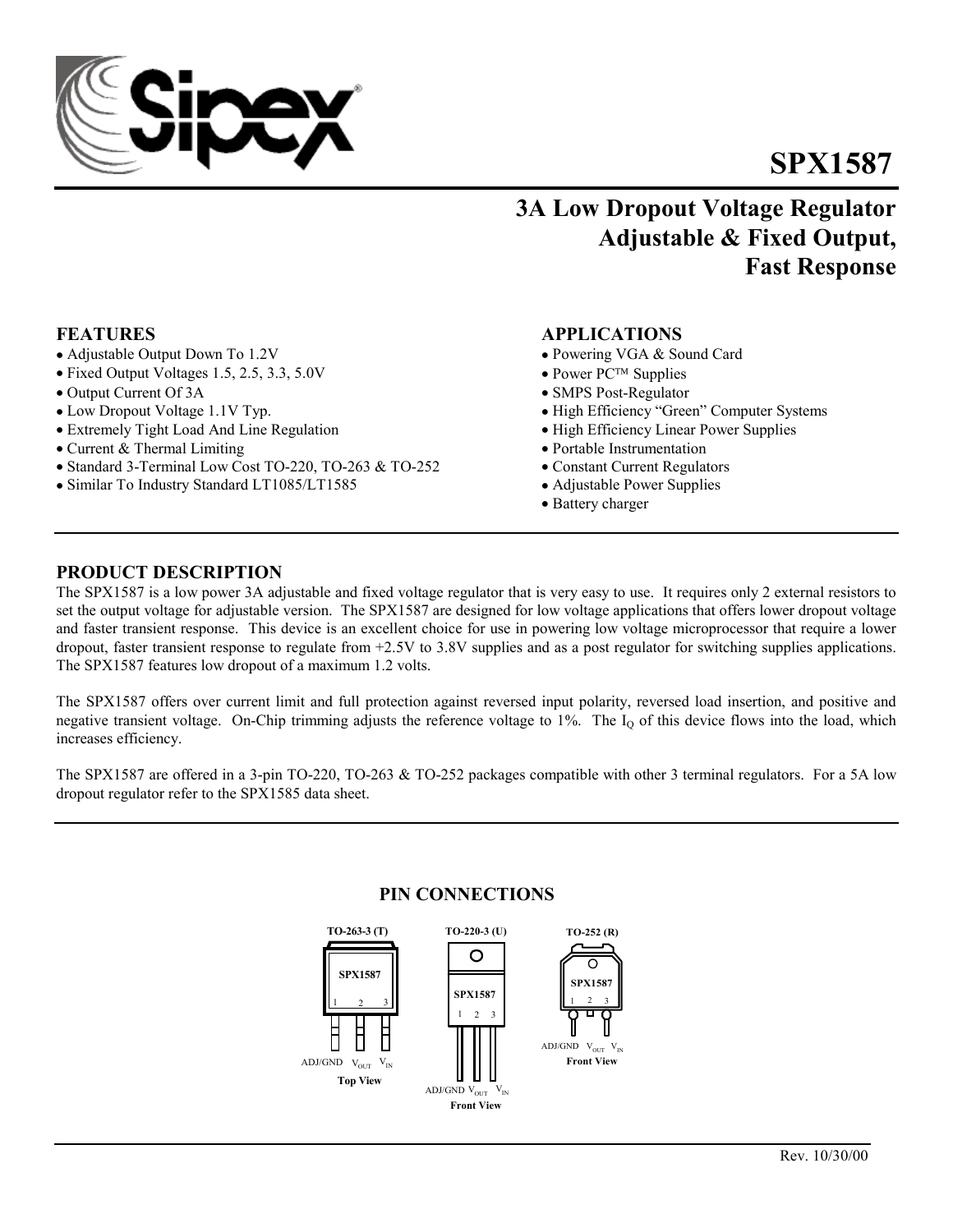# **SPX1587**

# **3A Low Dropout Voltage Regulator Adjustable & Fixed Output, Fast Response**

- Adjustable Output Down To 1.2V Powering VGA & Sound Card
- Fixed Output Voltages 1.5, 2.5, 3.3, 5.0V Power PC<sup>TM</sup> Supplies
- Output Current Of 3A SMPS Post-Regulator
- 
- Extremely Tight Load And Line Regulation High Efficiency Linear Power Supplies
- Current & Thermal Limiting Portable Instrumentation
- Standard 3-Terminal Low Cost TO-220, TO-263 & TO-252 Constant Current Regulators
- Similar To Industry Standard LT1085/LT1585 Adjustable Power Supplies

## **FEATURES APPLICATIONS**

- 
- 
- 
- Low Dropout Voltage 1.1V Typ. High Efficiency "Green" Computer Systems
	-
	-
	-
	-
	- Battery charger

# **PRODUCT DESCRIPTION**

The SPX1587 is a low power 3A adjustable and fixed voltage regulator that is very easy to use. It requires only 2 external resistors to set the output voltage for adjustable version. The SPX1587 are designed for low voltage applications that offers lower dropout voltage and faster transient response. This device is an excellent choice for use in powering low voltage microprocessor that require a lower dropout, faster transient response to regulate from +2.5V to 3.8V supplies and as a post regulator for switching supplies applications. The SPX1587 features low dropout of a maximum 1.2 volts.

The SPX1587 offers over current limit and full protection against reversed input polarity, reversed load insertion, and positive and negative transient voltage. On-Chip trimming adjusts the reference voltage to  $1\%$ . The  $I<sub>Q</sub>$  of this device flows into the load, which increases efficiency.

The SPX1587 are offered in a 3-pin TO-220, TO-263 & TO-252 packages compatible with other 3 terminal regulators. For a 5A low dropout regulator refer to the SPX1585 data sheet.

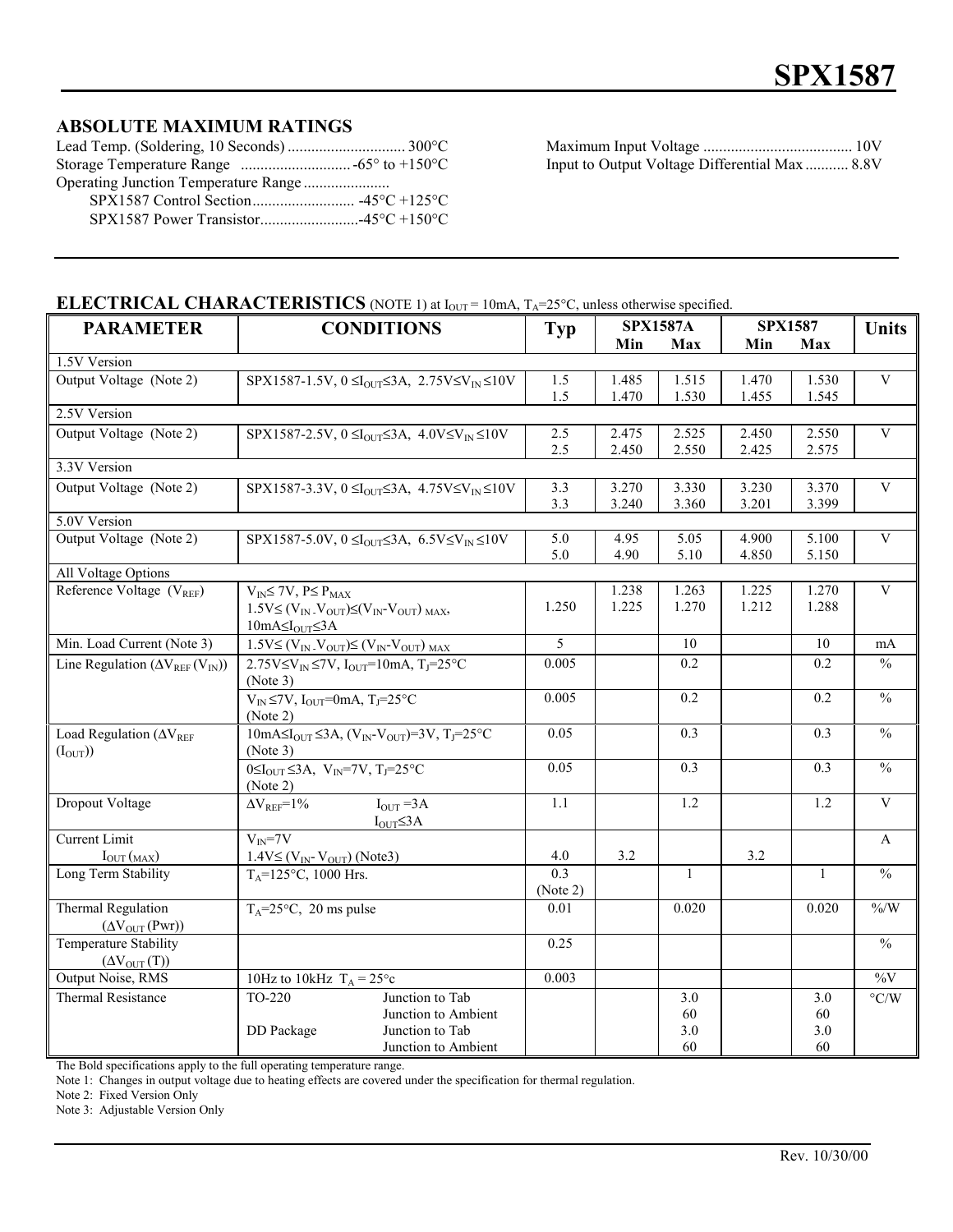# **ABSOLUTE MAXIMUM RATINGS**

| Operating Junction Temperature Range |  |
|--------------------------------------|--|
|                                      |  |
|                                      |  |

Lead Temp. (Soldering, 10 Seconds) .............................. 300°C Maximum Input Voltage ...................................... 10V Input to Output Voltage Differential Max ............ 8.8V

# **ELECTRICAL CHARACTERISTICS** (NOTE 1) at  $I_{OUT} = 10 \text{mA}$ ,  $T_A = 25 \text{°C}$ , unless otherwise specified.

| <b>PARAMETER</b>                                  | <b>CONDITIONS</b>                                                                                                            | <b>Typ</b> | <b>SPX1587A</b> |                  | <b>SPX1587</b> |                  | <b>Units</b>             |
|---------------------------------------------------|------------------------------------------------------------------------------------------------------------------------------|------------|-----------------|------------------|----------------|------------------|--------------------------|
|                                                   |                                                                                                                              |            | Min             | Max              | Min            | Max              |                          |
| 1.5V Version                                      |                                                                                                                              |            |                 |                  |                |                  |                          |
| Output Voltage (Note 2)                           | SPX1587-1.5V, $0 \leq I_{\text{OUT}} \leq 3A$ , $2.75 \text{V} \leq V_{\text{IN}} \leq 10 \text{V}$                          | 1.5        | 1.485           | 1.515            | 1.470          | 1.530            | $\overline{V}$           |
|                                                   |                                                                                                                              | 1.5        | 1.470           | 1.530            | 1.455          | 1.545            |                          |
| 2.5V Version                                      |                                                                                                                              |            |                 |                  |                |                  |                          |
| Output Voltage (Note 2)                           | SPX1587-2.5V, $0 \leq I_{\text{OUT}} \leq 3A$ , $4.0 \leq V_{\text{IN}} \leq 10V$                                            | 2.5        | 2.475           | 2.525            | 2.450          | 2.550            | $\overline{\mathbf{V}}$  |
|                                                   |                                                                                                                              | 2.5        | 2.450           | 2.550            | 2.425          | 2.575            |                          |
| 3.3V Version                                      |                                                                                                                              |            |                 |                  |                |                  |                          |
| Output Voltage (Note 2)                           | SPX1587-3.3V, $0 \leq I_{\text{OUT}} \leq 3A$ , $4.75 \text{V} \leq V_{\text{IN}} \leq 10 \text{V}$                          | 3.3        | 3.270           | 3.330            | 3.230          | 3.370            | $\mathbf{V}$             |
|                                                   |                                                                                                                              | 3.3        | 3.240           | 3.360            | 3.201          | 3.399            |                          |
| 5.0V Version                                      |                                                                                                                              |            |                 |                  |                |                  |                          |
| Output Voltage (Note 2)                           | SPX1587-5.0V, $0 \leq I_{\text{OUT}} \leq 3A$ , $6.5 \text{V} \leq V_{\text{IN}} \leq 10 \text{V}$                           | 5.0        | 4.95            | 5.05             | 4.900          | 5.100            | $\mathbf{V}$             |
|                                                   |                                                                                                                              | 5.0        | 4.90            | 5.10             | 4.850          | 5.150            |                          |
| All Voltage Options                               |                                                                                                                              |            |                 |                  |                |                  | $\overline{\mathbf{V}}$  |
| Reference Voltage $(V_{REF})$                     | $V_{IN} \leq 7V$ , $P \leq P_{MAX}$                                                                                          | 1.250      | 1.238<br>1.225  | 1.263<br>1.270   | 1.225<br>1.212 | 1.270<br>1.288   |                          |
|                                                   | $1.5V \leq (V_{IN} V_{OUT}) \leq (V_{IN} V_{OUT})_{MAX}$                                                                     |            |                 |                  |                |                  |                          |
| Min. Load Current (Note 3)                        | $10mA \leq I_{OUT} \leq 3A$                                                                                                  | 5          |                 | 10               |                | 10               |                          |
|                                                   | $1.5V \leq (V_{IN} V_{OUT}) \leq (V_{IN} V_{OUT})_{MAX}$                                                                     |            |                 |                  |                |                  | mA                       |
| Line Regulation $(\Delta V_{REF}(V_{IN}))$        | $2.75V \le V$ <sub>IN</sub> $\le 7V$ , I <sub>OUT</sub> =10mA, T <sub>J</sub> =25°C<br>(Note 3)                              | 0.005      |                 | $0.2\,$          |                | 0.2              | $\%$                     |
|                                                   | $V_{IN} \le 7V$ , $I_{OUT} = 0$ mA, $T_J = 25$ °C<br>(Note 2)                                                                | 0.005      |                 | $\overline{0.2}$ |                | $\overline{0.2}$ | $\overline{\frac{0}{0}}$ |
| Load Regulation ( $\Delta V_{REF}$<br>$(I_{OUT})$ | $\overline{10mA} \le I_{\text{OUT}} \le 3A$ , $(V_{\text{IN}} \cdot V_{\text{OUT}}) = 3V$ , $T_J = 25 \text{°C}$<br>(Note 3) | 0.05       |                 | 0.3              |                | 0.3              | $\frac{0}{0}$            |
|                                                   | $0 \leq I_{\text{OUT}} \leq 3A$ , $V_{\text{IN}} = 7V$ , $T_J = 25 \degree C$<br>(Note 2)                                    | 0.05       |                 | 0.3              |                | 0.3              | $\frac{0}{0}$            |
| Dropout Voltage                                   | $I_{\text{OUT}} = 3A$<br>$\Delta V_{REF}=1\%$<br>$I_{OUT} \leq 3A$                                                           | 1.1        |                 | 1.2              |                | 1.2              | $\overline{\mathbf{V}}$  |
| <b>Current Limit</b>                              | $V_{\text{IN}} = 7V$                                                                                                         |            |                 |                  |                |                  | A                        |
| $I_{\text{OUT}}(MAX)$                             | $1.4V \leq (V_{IN} - V_{OUT})$ (Note3)                                                                                       | 4.0        | 3.2             |                  | 3.2            |                  |                          |
| Long Term Stability                               | $T_A = 125$ °C, 1000 Hrs.                                                                                                    | 0.3        |                 | $\mathbf{1}$     |                | $\mathbf{1}$     | $\overline{\frac{0}{0}}$ |
|                                                   |                                                                                                                              | (Note 2)   |                 |                  |                |                  |                          |
| <b>Thermal Regulation</b>                         | $T_A = 25$ °C, 20 ms pulse                                                                                                   | 0.01       |                 | 0.020            |                | 0.020            | $\% / W$                 |
| $(\Delta V_{OUT}(Pwr))$                           |                                                                                                                              |            |                 |                  |                |                  |                          |
| Temperature Stability                             |                                                                                                                              | 0.25       |                 |                  |                |                  | $\%$                     |
| $(\Delta V_{\text{OUT}}(T))$                      |                                                                                                                              |            |                 |                  |                |                  |                          |
| Output Noise, RMS                                 | 10Hz to 10kHz $T_A = 25^\circ c$                                                                                             | 0.003      |                 |                  |                |                  | $\overline{\%V}$         |
| Thermal Resistance                                | TO-220<br>Junction to Tab                                                                                                    |            |                 | 3.0              |                | 3.0              | $\rm ^{\circ} C/W$       |
|                                                   | Junction to Ambient                                                                                                          |            |                 | 60               |                | 60               |                          |
|                                                   | DD Package<br>Junction to Tab                                                                                                |            |                 | 3.0              |                | 3.0              |                          |
|                                                   | Junction to Ambient                                                                                                          |            |                 | 60               |                | 60               |                          |

The Bold specifications apply to the full operating temperature range.

Note 1: Changes in output voltage due to heating effects are covered under the specification for thermal regulation.

Note 2: Fixed Version Only

Note 3: Adjustable Version Only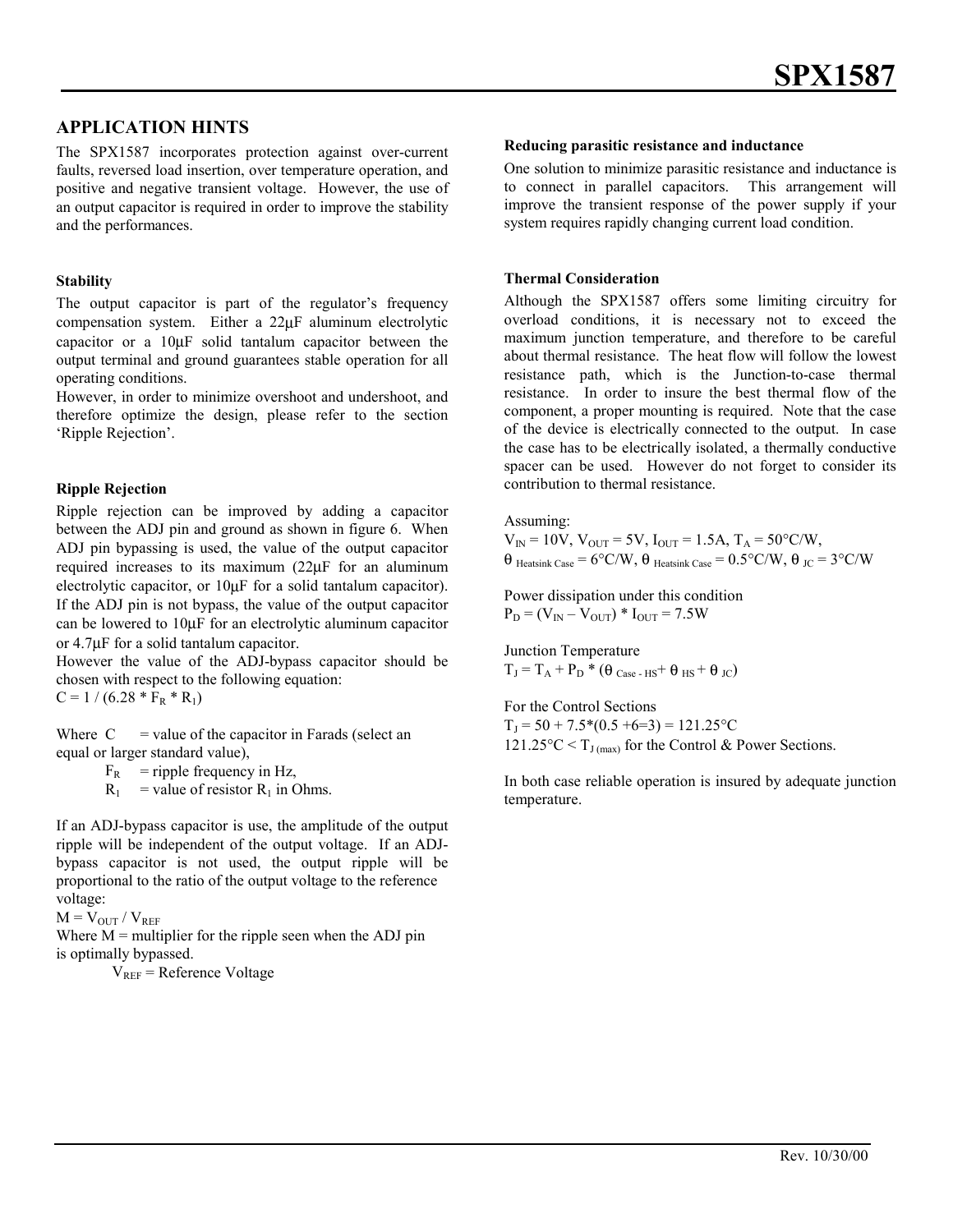# **APPLICATION HINTS**

The SPX1587 incorporates protection against over-current faults, reversed load insertion, over temperature operation, and positive and negative transient voltage. However, the use of an output capacitor is required in order to improve the stability and the performances.

#### **Stability**

The output capacitor is part of the regulator's frequency compensation system. Either a 22µF aluminum electrolytic capacitor or a 10µF solid tantalum capacitor between the output terminal and ground guarantees stable operation for all operating conditions.

However, in order to minimize overshoot and undershoot, and therefore optimize the design, please refer to the section 'Ripple Rejection'.

#### **Ripple Rejection**

Ripple rejection can be improved by adding a capacitor between the ADJ pin and ground as shown in figure 6. When ADJ pin bypassing is used, the value of the output capacitor required increases to its maximum (22µF for an aluminum electrolytic capacitor, or 10µF for a solid tantalum capacitor). If the ADJ pin is not bypass, the value of the output capacitor can be lowered to 10µF for an electrolytic aluminum capacitor or 4.7µF for a solid tantalum capacitor.

However the value of the ADJ-bypass capacitor should be chosen with respect to the following equation:

 $C = 1 / (6.28 * F_R * R_1)$ 

Where  $C =$  value of the capacitor in Farads (select an equal or larger standard value),

 $F_R$  = ripple frequency in Hz,

 $R_1$  = value of resistor  $R_1$  in Ohms.

If an ADJ-bypass capacitor is use, the amplitude of the output ripple will be independent of the output voltage. If an ADJbypass capacitor is not used, the output ripple will be proportional to the ratio of the output voltage to the reference voltage:

 $M = V_{\text{OUT}} / V_{\text{REF}}$ 

Where  $M$  = multiplier for the ripple seen when the ADJ pin is optimally bypassed.

 $V_{REF}$  = Reference Voltage

#### **Reducing parasitic resistance and inductance**

One solution to minimize parasitic resistance and inductance is to connect in parallel capacitors. This arrangement will improve the transient response of the power supply if your system requires rapidly changing current load condition.

#### **Thermal Consideration**

Although the SPX1587 offers some limiting circuitry for overload conditions, it is necessary not to exceed the maximum junction temperature, and therefore to be careful about thermal resistance. The heat flow will follow the lowest resistance path, which is the Junction-to-case thermal resistance. In order to insure the best thermal flow of the component, a proper mounting is required. Note that the case of the device is electrically connected to the output. In case the case has to be electrically isolated, a thermally conductive spacer can be used. However do not forget to consider its contribution to thermal resistance.

Assuming:

 $V_{IN} = 10V$ ,  $V_{OUT} = 5V$ ,  $I_{OUT} = 1.5A$ ,  $T_A = 50^{\circ}$ C/W,  $\theta$  Heatsink Case = 6°C/W,  $\theta$  Heatsink Case = 0.5°C/W,  $\theta$  JC = 3°C/W

Power dissipation under this condition  $P_D = (V_{IN} - V_{OUT}) * I_{OUT} = 7.5W$ 

Junction Temperature  $T_J = T_A + P_D$  \* (θ Case - HS<sup>+</sup> θ HS<sup>+</sup> θ JC)

For the Control Sections  $T_1 = 50 + 7.5*(0.5 + 6=3) = 121.25$ °C  $121.25^{\circ}\text{C} < T_{\text{J (max)}}$  for the Control & Power Sections.

In both case reliable operation is insured by adequate junction temperature.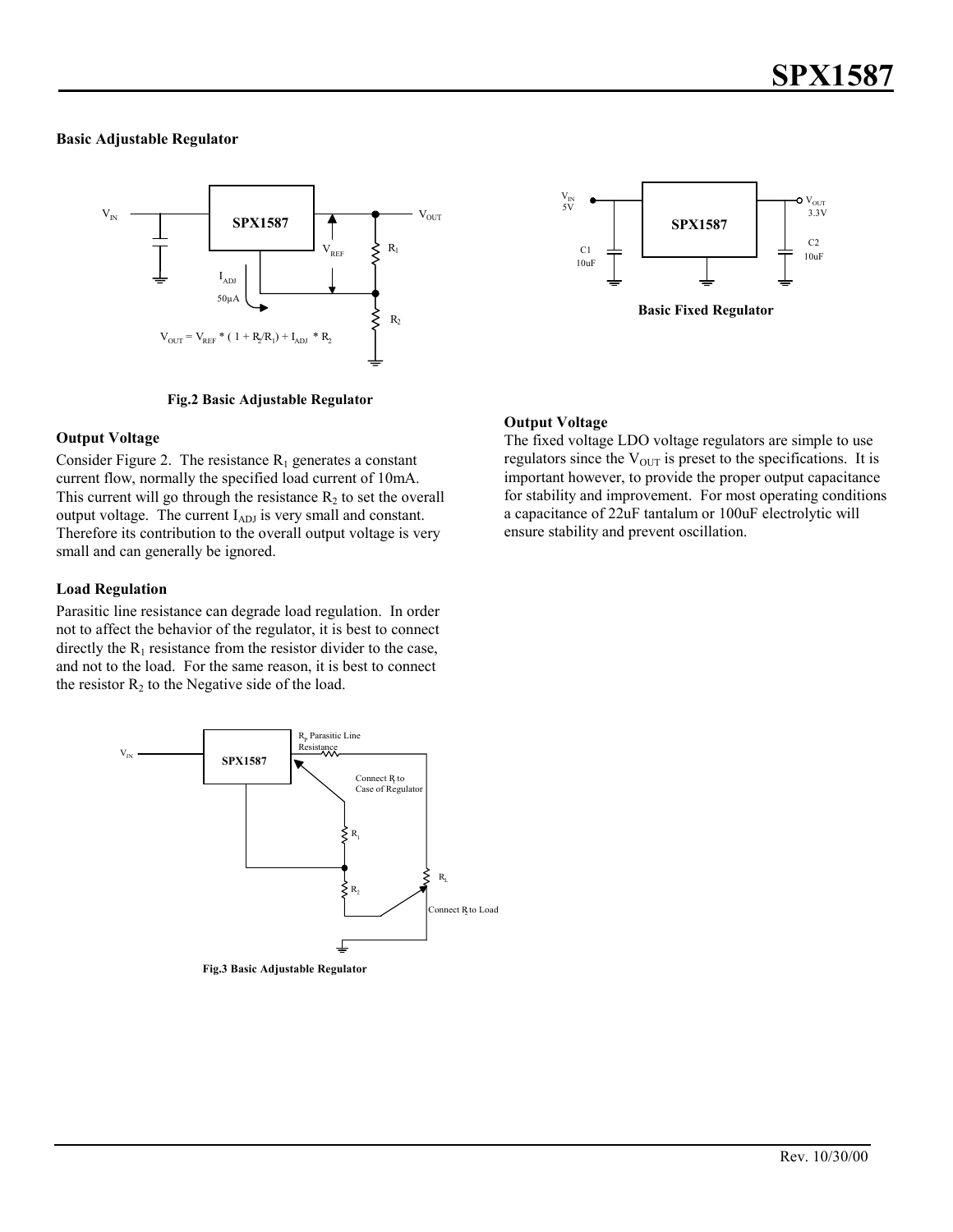#### **Basic Adjustable Regulator**



**Fig.2 Basic Adjustable Regulator**

#### **Output Voltage**

Consider Figure 2. The resistance  $R_1$  generates a constant current flow, normally the specified load current of 10mA. This current will go through the resistance  $R_2$  to set the overall output voltage. The current  $I_{ADJ}$  is very small and constant. Therefore its contribution to the overall output voltage is very small and can generally be ignored.

### **Load Regulation**

Parasitic line resistance can degrade load regulation. In order not to affect the behavior of the regulator, it is best to connect directly the  $R_1$  resistance from the resistor divider to the case, and not to the load. For the same reason, it is best to connect the resistor  $R_2$  to the Negative side of the load.



**Fig.3 Basic Adjustable Regulator**



## **Output Voltage**

The fixed voltage LDO voltage regulators are simple to use regulators since the  $V_{\text{OUT}}$  is preset to the specifications. It is important however, to provide the proper output capacitance for stability and improvement. For most operating conditions a capacitance of 22uF tantalum or 100uF electrolytic will ensure stability and prevent oscillation.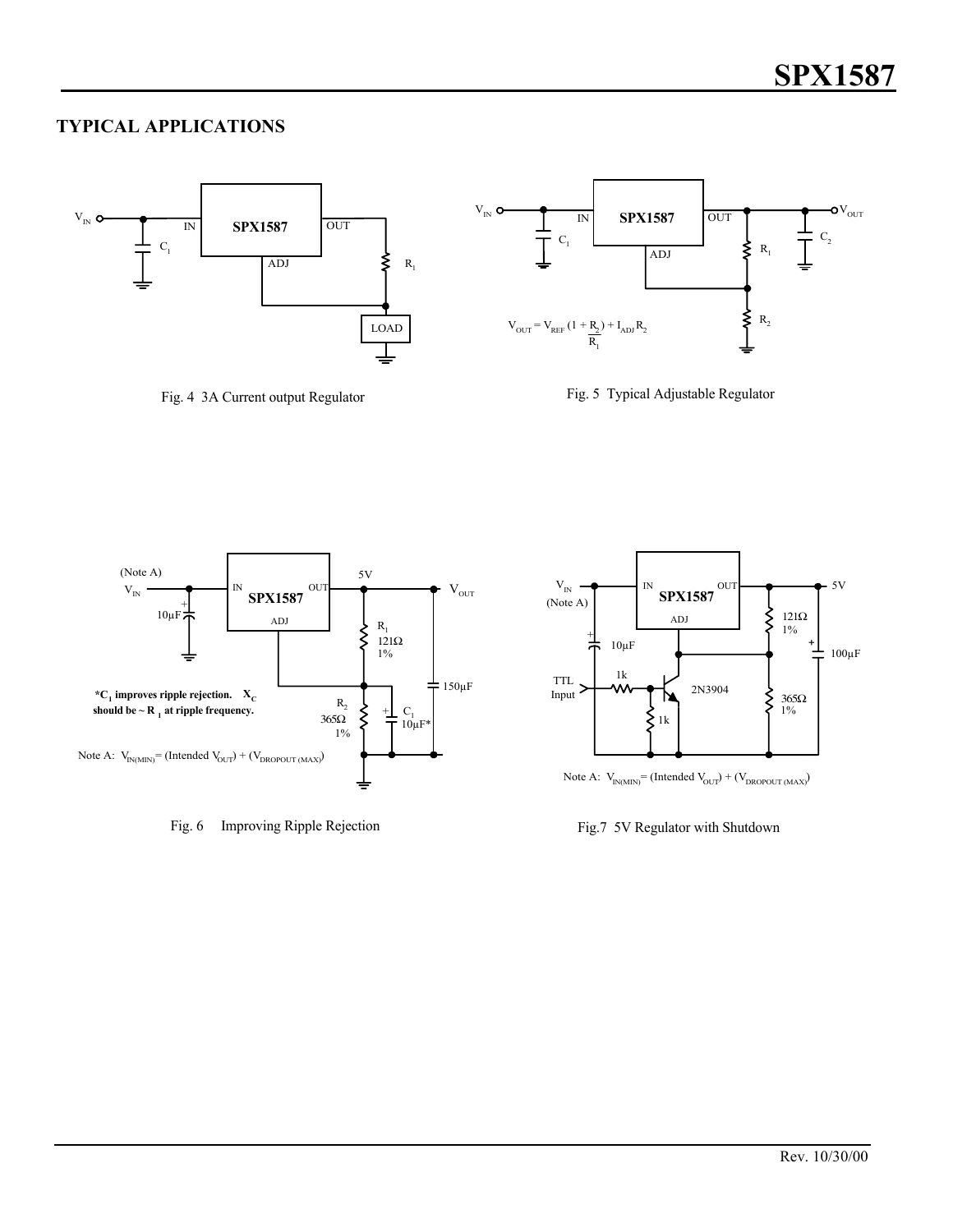# **TYPICAL APPLICATIONS**



Fig. 4 3A Current output Regulator





Fig. 6 Improving Ripple Rejection



Note A:  $V_{IN(MIN)} = (Intended V_{OUT}) + (V_{DROPOUT (MAX)})$ 

Fig.7 5V Regulator with Shutdown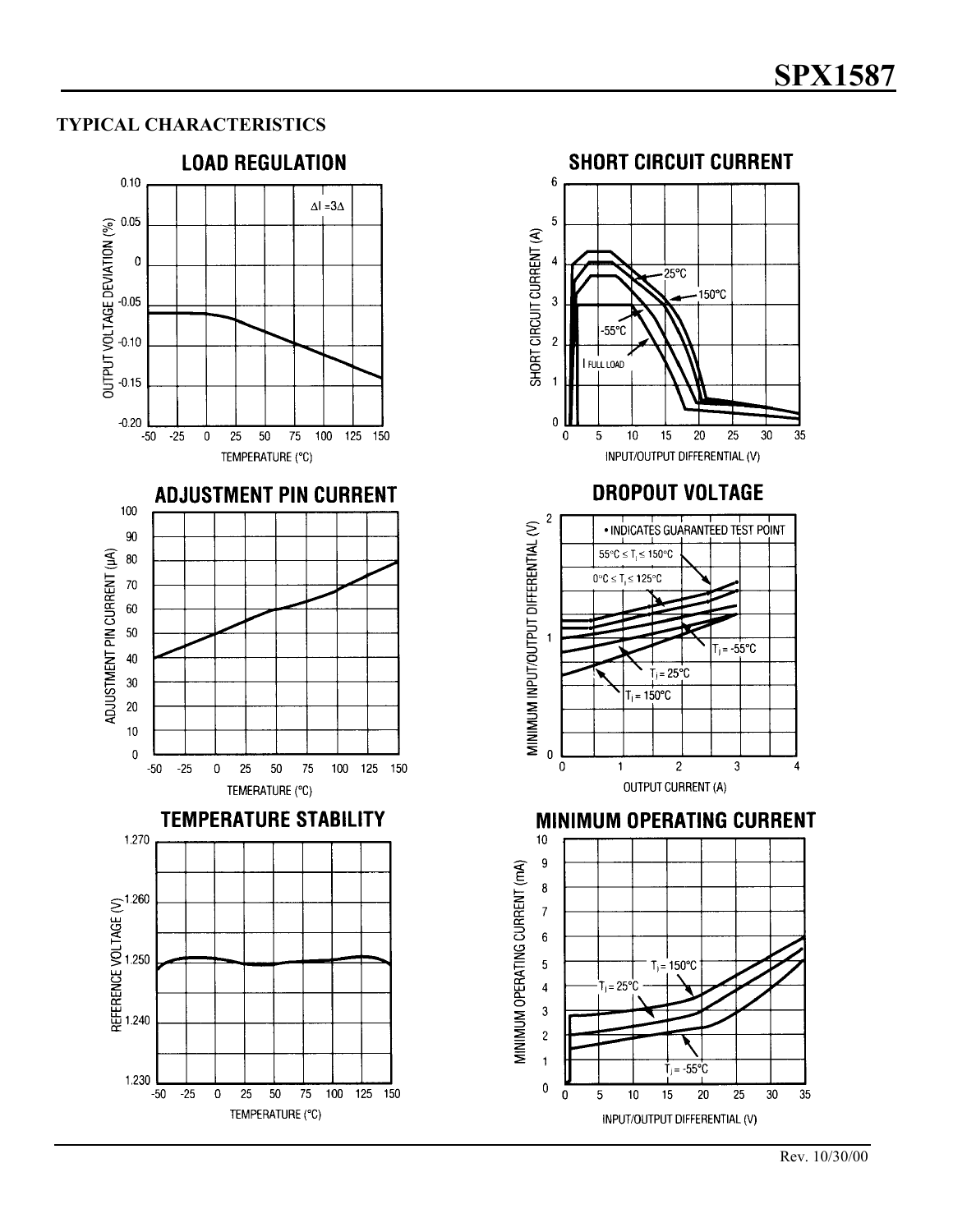